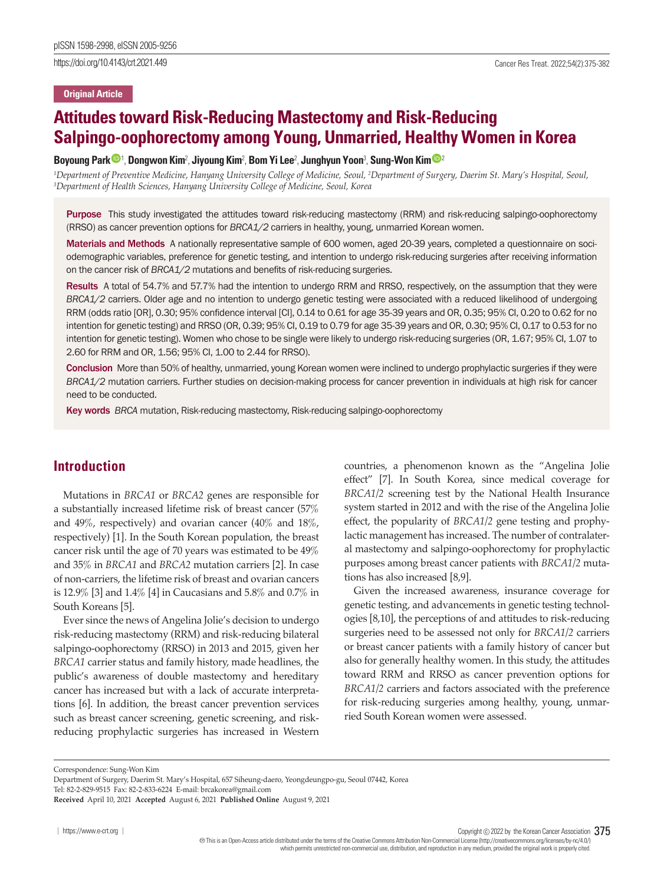https://doi.org/10.4143/crt.2021.449 Cancer Res Treat. 2022;54(2):375-382

### **Original Article**

# **Attitudes toward Risk-Reducing Mastectomy and Risk-Reducing Salpingo-oophorectomy among Young, Unmarried, Healthy Women in Korea**

### Boyoung Par[k](https://orcid.org/0000-0003-1902-3184) �� ', Dongwon Ki[m](https://orcid.org/0000-0001-5687-1380)², Jiyoung Kim², Bom Yi Lee<sup>2</sup>, Junghyun Yoon<sup>3</sup>, Sung-Won Kim ��

<sup>1</sup>Department of Preventive Medicine, Hanyang University College of Medicine, Seoul, <sup>2</sup>Department of Surgery, Daerim St. Mary's Hospital, Seoul,<br><sup>3</sup>Department of Health Sciences, Hanyano University College of Medicine, Se *Department of Health Sciences, Hanyang University College of Medicine, Seoul, Korea*

Purpose This study investigated the attitudes toward risk-reducing mastectomy (RRM) and risk-reducing salpingo-oophorectomy (RRSO) as cancer prevention options for *BRCA1/2* carriers in healthy, young, unmarried Korean women.

Materials and Methods A nationally representative sample of 600 women, aged 20-39 years, completed a questionnaire on sociodemographic variables, preference for genetic testing, and intention to undergo risk-reducing surgeries after receiving information on the cancer risk of *BRCA1/2* mutations and benefits of risk-reducing surgeries.

Results A total of 54.7% and 57.7% had the intention to undergo RRM and RRSO, respectively, on the assumption that they were *BRCA1/2* carriers. Older age and no intention to undergo genetic testing were associated with a reduced likelihood of undergoing RRM (odds ratio [OR], 0.30; 95% confidence interval [CI], 0.14 to 0.61 for age 35-39 years and OR, 0.35; 95% CI, 0.20 to 0.62 for no intention for genetic testing) and RRSO (OR, 0.39; 95% CI, 0.19 to 0.79 for age 35-39 years and OR, 0.30; 95% CI, 0.17 to 0.53 for no intention for genetic testing). Women who chose to be single were likely to undergo risk-reducing surgeries (OR, 1.67; 95% CI, 1.07 to 2.60 for RRM and OR, 1.56; 95% CI, 1.00 to 2.44 for RRSO).

Conclusion More than 50% of healthy, unmarried, young Korean women were inclined to undergo prophylactic surgeries if they were *BRCA1/2* mutation carriers. Further studies on decision-making process for cancer prevention in individuals at high risk for cancer need to be conducted.

Key words *BRCA* mutation, Risk-reducing mastectomy, Risk-reducing salpingo-oophorectomy

### **Introduction**

Mutations in *BRCA1* or *BRCA2* genes are responsible for a substantially increased lifetime risk of breast cancer (57% and 49%, respectively) and ovarian cancer (40% and 18%, respectively) [1]. In the South Korean population, the breast cancer risk until the age of 70 years was estimated to be 49% and 35% in *BRCA1* and *BRCA2* mutation carriers [2]. In case of non-carriers, the lifetime risk of breast and ovarian cancers is 12.9% [3] and 1.4% [4] in Caucasians and 5.8% and 0.7% in South Koreans [5].

Ever since the news of Angelina Jolie's decision to undergo risk-reducing mastectomy (RRM) and risk-reducing bilateral salpingo-oophorectomy (RRSO) in 2013 and 2015, given her *BRCA1* carrier status and family history, made headlines, the public's awareness of double mastectomy and hereditary cancer has increased but with a lack of accurate interpretations [6]. In addition, the breast cancer prevention services such as breast cancer screening, genetic screening, and riskreducing prophylactic surgeries has increased in Western countries, a phenomenon known as the "Angelina Jolie effect" [7]. In South Korea, since medical coverage for *BRCA1/2* screening test by the National Health Insurance system started in 2012 and with the rise of the Angelina Jolie effect, the popularity of *BRCA1/2* gene testing and prophylactic management has increased. The number of contralateral mastectomy and salpingo-oophorectomy for prophylactic purposes among breast cancer patients with *BRCA1/2* mutations has also increased [8,9].

Given the increased awareness, insurance coverage for genetic testing, and advancements in genetic testing technologies [8,10], the perceptions of and attitudes to risk-reducing surgeries need to be assessed not only for *BRCA1/2* carriers or breast cancer patients with a family history of cancer but also for generally healthy women. In this study, the attitudes toward RRM and RRSO as cancer prevention options for *BRCA1/2* carriers and factors associated with the preference for risk-reducing surgeries among healthy, young, unmarried South Korean women were assessed.

Correspondence: Sung-Won Kim

Tel: 82-2-829-9515 Fax: 82-2-833-6224 E-mail: brcakorea@gmail.com

Copyright  $©$  2022 by the Korean Cancer Association 375

 This is an Open-Access article distributed under the terms of the Creative Commons Attribution Non-Commercial License (http://creativecommons.org/licenses/by-nc/4.0/) which permits unrestricted non-commercial use, distribution, and reproduction in any medium, provided the original work is properly cited.

Department of Surgery, Daerim St. Mary's Hospital, 657 Siheung-daero, Yeongdeungpo-gu, Seoul 07442, Korea

**Received** April 10, 2021 **Accepted** August 6, 2021 **Published Online** August 9, 2021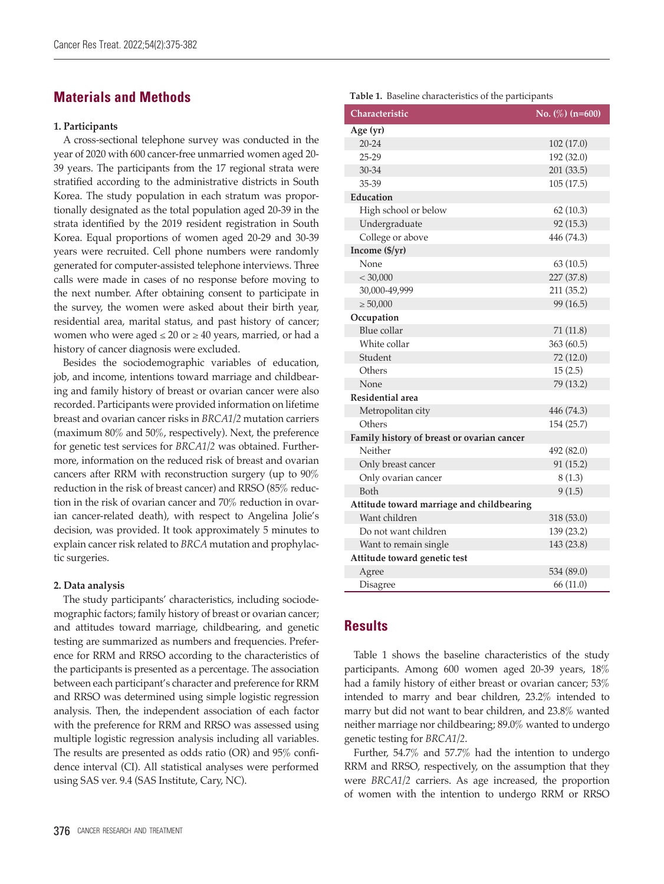## **Materials and Methods**

### **1. Participants**

A cross-sectional telephone survey was conducted in the year of 2020 with 600 cancer-free unmarried women aged 20- 39 years. The participants from the 17 regional strata were stratified according to the administrative districts in South Korea. The study population in each stratum was proportionally designated as the total population aged 20-39 in the strata identified by the 2019 resident registration in South Korea. Equal proportions of women aged 20-29 and 30-39 years were recruited. Cell phone numbers were randomly generated for computer-assisted telephone interviews. Three calls were made in cases of no response before moving to the next number. After obtaining consent to participate in the survey, the women were asked about their birth year, residential area, marital status, and past history of cancer; women who were aged  $\leq 20$  or  $\geq 40$  years, married, or had a history of cancer diagnosis were excluded.

Besides the sociodemographic variables of education, job, and income, intentions toward marriage and childbearing and family history of breast or ovarian cancer were also recorded. Participants were provided information on lifetime breast and ovarian cancer risks in *BRCA1/2* mutation carriers (maximum 80% and 50%, respectively). Next, the preference for genetic test services for *BRCA1/2* was obtained. Furthermore, information on the reduced risk of breast and ovarian cancers after RRM with reconstruction surgery (up to 90% reduction in the risk of breast cancer) and RRSO (85% reduction in the risk of ovarian cancer and 70% reduction in ovarian cancer-related death), with respect to Angelina Jolie's decision, was provided. It took approximately 5 minutes to explain cancer risk related to *BRCA* mutation and prophylactic surgeries.

### **2. Data analysis**

The study participants' characteristics, including sociodemographic factors; family history of breast or ovarian cancer; and attitudes toward marriage, childbearing, and genetic testing are summarized as numbers and frequencies. Preference for RRM and RRSO according to the characteristics of the participants is presented as a percentage. The association between each participant's character and preference for RRM and RRSO was determined using simple logistic regression analysis. Then, the independent association of each factor with the preference for RRM and RRSO was assessed using multiple logistic regression analysis including all variables. The results are presented as odds ratio (OR) and 95% confidence interval (CI). All statistical analyses were performed using SAS ver. 9.4 (SAS Institute, Cary, NC).

### **Table 1.** Baseline characteristics of the participants

| Characteristic                             | No. $(\%)$ (n=600) |
|--------------------------------------------|--------------------|
| Age (yr)                                   |                    |
| $20 - 24$                                  | 102(17.0)          |
| $25-29$                                    | 192 (32.0)         |
| 30-34                                      | 201 (33.5)         |
| 35-39                                      | 105(17.5)          |
| Education                                  |                    |
| High school or below                       | 62(10.3)           |
| Undergraduate                              | 92 (15.3)          |
| College or above                           | 446 (74.3)         |
| Income (\$/yr)                             |                    |
| None                                       | 63(10.5)           |
| < 30,000                                   | 227 (37.8)         |
| 30,000-49,999                              | 211 (35.2)         |
| $\geq 50,000$                              | 99 (16.5)          |
| Occupation                                 |                    |
| <b>Blue</b> collar                         | 71 (11.8)          |
| White collar                               | 363 (60.5)         |
| Student                                    | 72 (12.0)          |
| Others                                     | 15(2.5)            |
| None                                       | 79 (13.2)          |
| Residential area                           |                    |
| Metropolitan city                          | 446 (74.3)         |
| Others                                     | 154 (25.7)         |
| Family history of breast or ovarian cancer |                    |
| Neither                                    | 492 (82.0)         |
| Only breast cancer                         | 91(15.2)           |
| Only ovarian cancer                        | 8(1.3)             |
| <b>Both</b>                                | 9(1.5)             |
| Attitude toward marriage and childbearing  |                    |
| Want children                              | 318 (53.0)         |
| Do not want children                       | 139 (23.2)         |
| Want to remain single                      | 143 (23.8)         |
| Attitude toward genetic test               |                    |
| Agree                                      | 534 (89.0)         |
| Disagree                                   | 66 (11.0)          |

### **Results**

Table 1 shows the baseline characteristics of the study participants. Among 600 women aged 20-39 years, 18% had a family history of either breast or ovarian cancer; 53% intended to marry and bear children, 23.2% intended to marry but did not want to bear children, and 23.8% wanted neither marriage nor childbearing; 89.0% wanted to undergo genetic testing for *BRCA1/2*.

Further, 54.7% and 57.7% had the intention to undergo RRM and RRSO, respectively, on the assumption that they were *BRCA1/2* carriers. As age increased, the proportion of women with the intention to undergo RRM or RRSO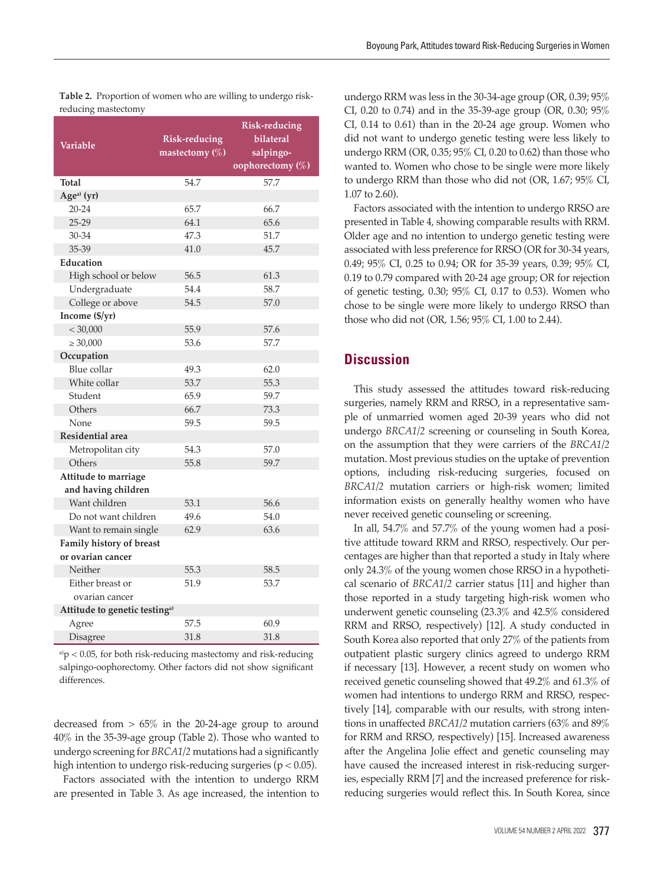|                                           | <b>Risk-reducing</b> |                  |
|-------------------------------------------|----------------------|------------------|
| Variable                                  | Risk-reducing        | bilateral        |
|                                           | mastectomy $(\%)$    | salpingo-        |
|                                           |                      | oophorectomy (%) |
| Total                                     | 54.7                 | 57.7             |
| Age <sup>a)</sup> (yr)                    |                      |                  |
| $20 - 24$                                 | 65.7                 | 66.7             |
| $25 - 29$                                 | 64.1                 | 65.6             |
| 30-34                                     | 47.3                 | 51.7             |
| 35-39                                     | 41.0                 | 45.7             |
| <b>Education</b>                          |                      |                  |
| High school or below                      | 56.5                 | 61.3             |
| Undergraduate                             | 54.4                 | 58.7             |
| College or above                          | 54.5                 | 57.0             |
| Income (\$/yr)                            |                      |                  |
| < 30,000                                  | 55.9                 | 57.6             |
| $\geq 30,000$                             | 53.6                 | 57.7             |
| Occupation                                |                      |                  |
| Blue collar                               | 49.3                 | 62.0             |
| White collar                              | 53.7                 | 55.3             |
| Student                                   | 65.9                 | 59.7             |
| Others                                    | 66.7                 | 73.3             |
| None                                      | 59.5                 | 59.5             |
| Residential area                          |                      |                  |
| Metropolitan city                         | 54.3                 | 57.0             |
| Others                                    | 55.8                 | 59.7             |
| Attitude to marriage                      |                      |                  |
| and having children                       |                      |                  |
| Want children                             | 53.1                 | 56.6             |
| Do not want children                      | 49.6                 | 54.0             |
| Want to remain single                     | 62.9                 | 63.6             |
| Family history of breast                  |                      |                  |
| or ovarian cancer                         |                      |                  |
| Neither                                   | 55.3                 | 58.5             |
| Either breast or                          | 51.9                 | 53.7             |
| ovarian cancer                            |                      |                  |
| Attitude to genetic testing <sup>a)</sup> |                      |                  |
| Agree                                     | 57.5                 | 60.9             |
| Disagree                                  | 31.8                 | 31.8             |

**Table 2.** Proportion of women who are willing to undergo riskreducing mastectomy

 $a<sub>p</sub>$  < 0.05, for both risk-reducing mastectomy and risk-reducing salpingo-oophorectomy. Other factors did not show significant differences.

decreased from  $> 65\%$  in the 20-24-age group to around 40% in the 35-39-age group (Table 2). Those who wanted to undergo screening for *BRCA1/2* mutations had a significantly high intention to undergo risk-reducing surgeries ( $p < 0.05$ ).

Factors associated with the intention to undergo RRM are presented in Table 3. As age increased, the intention to

undergo RRM was less in the 30-34-age group (OR, 0.39; 95% CI, 0.20 to 0.74) and in the 35-39-age group (OR, 0.30; 95% CI, 0.14 to 0.61) than in the 20-24 age group. Women who did not want to undergo genetic testing were less likely to undergo RRM (OR, 0.35; 95% CI, 0.20 to 0.62) than those who wanted to. Women who chose to be single were more likely to undergo RRM than those who did not (OR, 1.67; 95% CI, 1.07 to 2.60).

Factors associated with the intention to undergo RRSO are presented in Table 4, showing comparable results with RRM. Older age and no intention to undergo genetic testing were associated with less preference for RRSO (OR for 30-34 years, 0.49; 95% CI, 0.25 to 0.94; OR for 35-39 years, 0.39; 95% CI, 0.19 to 0.79 compared with 20-24 age group; OR for rejection of genetic testing, 0.30; 95% CI, 0.17 to 0.53). Women who chose to be single were more likely to undergo RRSO than those who did not (OR, 1.56; 95% CI, 1.00 to 2.44).

### **Discussion**

This study assessed the attitudes toward risk-reducing surgeries, namely RRM and RRSO, in a representative sample of unmarried women aged 20-39 years who did not undergo *BRCA1/2* screening or counseling in South Korea, on the assumption that they were carriers of the *BRCA1/2* mutation. Most previous studies on the uptake of prevention options, including risk-reducing surgeries, focused on *BRCA1/2* mutation carriers or high-risk women; limited information exists on generally healthy women who have never received genetic counseling or screening.

In all, 54.7% and 57.7% of the young women had a positive attitude toward RRM and RRSO, respectively. Our percentages are higher than that reported a study in Italy where only 24.3% of the young women chose RRSO in a hypothetical scenario of *BRCA1/2* carrier status [11] and higher than those reported in a study targeting high-risk women who underwent genetic counseling (23.3% and 42.5% considered RRM and RRSO, respectively) [12]. A study conducted in South Korea also reported that only 27% of the patients from outpatient plastic surgery clinics agreed to undergo RRM if necessary [13]. However, a recent study on women who received genetic counseling showed that 49.2% and 61.3% of women had intentions to undergo RRM and RRSO, respectively [14], comparable with our results, with strong intentions in unaffected *BRCA1/2* mutation carriers (63% and 89% for RRM and RRSO, respectively) [15]. Increased awareness after the Angelina Jolie effect and genetic counseling may have caused the increased interest in risk-reducing surgeries, especially RRM [7] and the increased preference for riskreducing surgeries would reflect this. In South Korea, since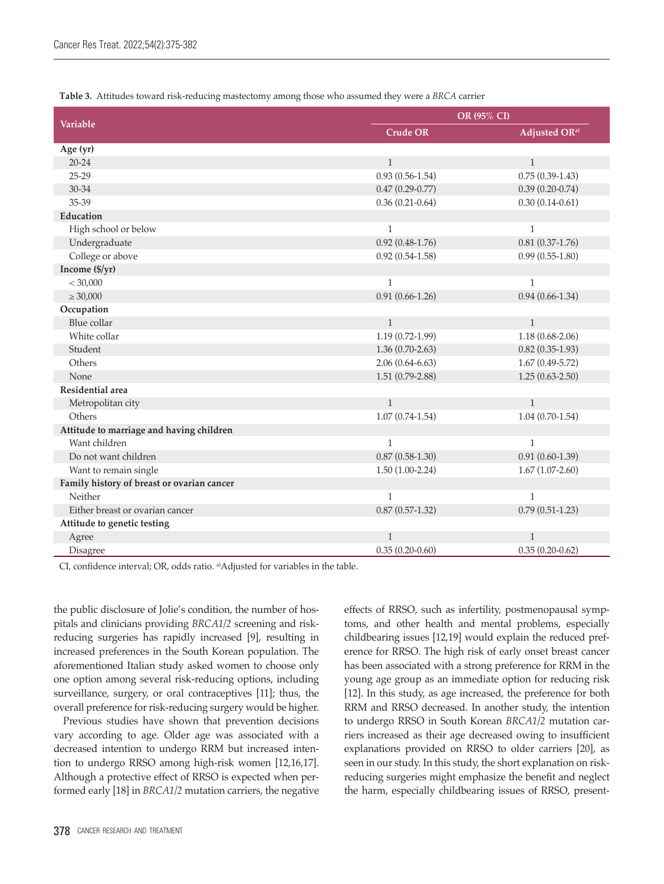|                                            | OR (95% CI)         |                           |  |
|--------------------------------------------|---------------------|---------------------------|--|
| <b>Variable</b>                            | <b>Crude OR</b>     | Adjusted OR <sup>a)</sup> |  |
| Age (yr)                                   |                     |                           |  |
| $20 - 24$                                  | $\mathbf{1}$        | $\mathbf{1}$              |  |
| $25 - 29$                                  | $0.93(0.56-1.54)$   | $0.75(0.39-1.43)$         |  |
| 30-34                                      | $0.47(0.29-0.77)$   | $0.39(0.20-0.74)$         |  |
| 35-39                                      | $0.36(0.21-0.64)$   | $0.30(0.14 - 0.61)$       |  |
| <b>Education</b>                           |                     |                           |  |
| High school or below                       | $\mathbf{1}$        | $\mathbf{1}$              |  |
| Undergraduate                              | $0.92(0.48-1.76)$   | $0.81(0.37-1.76)$         |  |
| College or above                           | $0.92(0.54-1.58)$   | $0.99(0.55-1.80)$         |  |
| Income (\$/yr)                             |                     |                           |  |
| < 30,000                                   | $\mathbf{1}$        | $\mathbf{1}$              |  |
| $\geq 30,000$                              | $0.91(0.66 - 1.26)$ | $0.94(0.66-1.34)$         |  |
| Occupation                                 |                     |                           |  |
| Blue collar                                | $\mathbf{1}$        | $\mathbf{1}$              |  |
| White collar                               | $1.19(0.72-1.99)$   | $1.18(0.68-2.06)$         |  |
| Student                                    | $1.36(0.70-2.63)$   | $0.82(0.35-1.93)$         |  |
| Others                                     | $2.06(0.64-6.63)$   | $1.67(0.49-5.72)$         |  |
| None                                       | $1.51(0.79-2.88)$   | $1.25(0.63 - 2.50)$       |  |
| Residential area                           |                     |                           |  |
| Metropolitan city                          | $\mathbf{1}$        | $\mathbf{1}$              |  |
| Others                                     | $1.07(0.74-1.54)$   | $1.04(0.70-1.54)$         |  |
| Attitude to marriage and having children   |                     |                           |  |
| Want children                              | $\mathbf{1}$        | $\mathbf{1}$              |  |
| Do not want children                       | $0.87(0.58-1.30)$   | $0.91(0.60-1.39)$         |  |
| Want to remain single                      | $1.50(1.00-2.24)$   | $1.67(1.07-2.60)$         |  |
| Family history of breast or ovarian cancer |                     |                           |  |
| Neither                                    | $\mathbf{1}$        | $\mathbf{1}$              |  |
| Either breast or ovarian cancer            | $0.87(0.57-1.32)$   | $0.79(0.51-1.23)$         |  |
| Attitude to genetic testing                |                     |                           |  |
| Agree                                      | $\mathbf{1}$        | $\mathbf{1}$              |  |
| Disagree                                   | $0.35(0.20-0.60)$   | $0.35(0.20-0.62)$         |  |

**Table 3.** Attitudes toward risk-reducing mastectomy among those who assumed they were a *BRCA* carrier

CI, confidence interval; OR, odds ratio. a)Adjusted for variables in the table.

the public disclosure of Jolie's condition, the number of hospitals and clinicians providing *BRCA1/2* screening and riskreducing surgeries has rapidly increased [9], resulting in increased preferences in the South Korean population. The aforementioned Italian study asked women to choose only one option among several risk-reducing options, including surveillance, surgery, or oral contraceptives [11]; thus, the overall preference for risk-reducing surgery would be higher.

Previous studies have shown that prevention decisions vary according to age. Older age was associated with a decreased intention to undergo RRM but increased intention to undergo RRSO among high-risk women [12,16,17]. Although a protective effect of RRSO is expected when performed early [18] in *BRCA1/2* mutation carriers, the negative effects of RRSO, such as infertility, postmenopausal symptoms, and other health and mental problems, especially childbearing issues [12,19] would explain the reduced preference for RRSO. The high risk of early onset breast cancer has been associated with a strong preference for RRM in the young age group as an immediate option for reducing risk [12]. In this study, as age increased, the preference for both RRM and RRSO decreased. In another study, the intention to undergo RRSO in South Korean *BRCA1/2* mutation carriers increased as their age decreased owing to insufficient explanations provided on RRSO to older carriers [20], as seen in our study. In this study, the short explanation on riskreducing surgeries might emphasize the benefit and neglect the harm, especially childbearing issues of RRSO, present-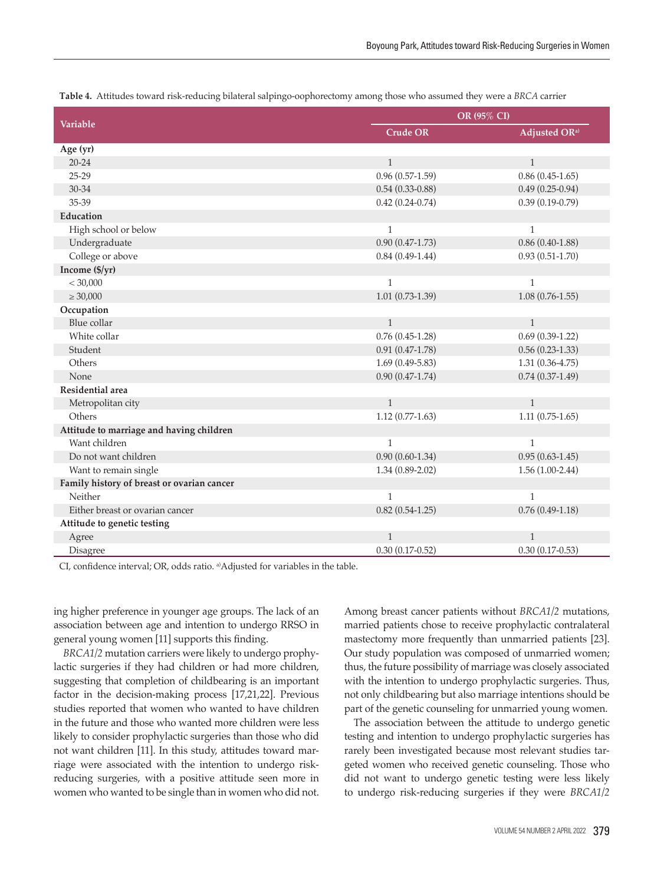| <b>Variable</b>                            | OR (95% CI)       |                           |  |
|--------------------------------------------|-------------------|---------------------------|--|
|                                            | <b>Crude OR</b>   | Adjusted OR <sup>a)</sup> |  |
| Age (yr)                                   |                   |                           |  |
| $20 - 24$                                  | $\mathbf{1}$      | $\mathbf{1}$              |  |
| $25-29$                                    | $0.96(0.57-1.59)$ | $0.86(0.45-1.65)$         |  |
| 30-34                                      | $0.54(0.33-0.88)$ | $0.49(0.25-0.94)$         |  |
| 35-39                                      | $0.42(0.24-0.74)$ | $0.39(0.19-0.79)$         |  |
| Education                                  |                   |                           |  |
| High school or below                       | $\mathbf{1}$      | $\mathbf{1}$              |  |
| Undergraduate                              | $0.90(0.47-1.73)$ | $0.86(0.40-1.88)$         |  |
| College or above                           | $0.84(0.49-1.44)$ | $0.93(0.51 - 1.70)$       |  |
| Income (\$/yr)                             |                   |                           |  |
| < 30,000                                   | $\mathbf{1}$      | $\mathbf{1}$              |  |
| $\geq 30,000$                              | $1.01(0.73-1.39)$ | $1.08(0.76-1.55)$         |  |
| Occupation                                 |                   |                           |  |
| Blue collar                                | $\mathbf{1}$      | $\mathbf{1}$              |  |
| White collar                               | $0.76(0.45-1.28)$ | $0.69(0.39-1.22)$         |  |
| Student                                    | $0.91(0.47-1.78)$ | $0.56(0.23-1.33)$         |  |
| Others                                     | $1.69(0.49-5.83)$ | $1.31(0.36-4.75)$         |  |
| None                                       | $0.90(0.47-1.74)$ | $0.74(0.37-1.49)$         |  |
| Residential area                           |                   |                           |  |
| Metropolitan city                          | $\mathbf{1}$      | $\mathbf{1}$              |  |
| Others                                     | $1.12(0.77-1.63)$ | $1.11(0.75-1.65)$         |  |
| Attitude to marriage and having children   |                   |                           |  |
| Want children                              | $\mathbf{1}$      | $\mathbf{1}$              |  |
| Do not want children                       | $0.90(0.60-1.34)$ | $0.95(0.63 - 1.45)$       |  |
| Want to remain single                      | $1.34(0.89-2.02)$ | $1.56(1.00-2.44)$         |  |
| Family history of breast or ovarian cancer |                   |                           |  |
| Neither                                    | $\mathbf{1}$      | $\mathbf{1}$              |  |
| Either breast or ovarian cancer            | $0.82(0.54-1.25)$ | $0.76(0.49-1.18)$         |  |
| Attitude to genetic testing                |                   |                           |  |
| Agree                                      | $\mathbf{1}$      | $\mathbf{1}$              |  |
| Disagree                                   | $0.30(0.17-0.52)$ | $0.30(0.17-0.53)$         |  |

**Table 4.** Attitudes toward risk-reducing bilateral salpingo-oophorectomy among those who assumed they were a *BRCA* carrier

CI, confidence interval; OR, odds ratio. a)Adjusted for variables in the table.

ing higher preference in younger age groups. The lack of an association between age and intention to undergo RRSO in general young women [11] supports this finding.

*BRCA1/2* mutation carriers were likely to undergo prophylactic surgeries if they had children or had more children, suggesting that completion of childbearing is an important factor in the decision-making process [17,21,22]. Previous studies reported that women who wanted to have children in the future and those who wanted more children were less likely to consider prophylactic surgeries than those who did not want children [11]. In this study, attitudes toward marriage were associated with the intention to undergo riskreducing surgeries, with a positive attitude seen more in women who wanted to be single than in women who did not.

Among breast cancer patients without *BRCA1/2* mutations, married patients chose to receive prophylactic contralateral mastectomy more frequently than unmarried patients [23]. Our study population was composed of unmarried women; thus, the future possibility of marriage was closely associated with the intention to undergo prophylactic surgeries. Thus, not only childbearing but also marriage intentions should be part of the genetic counseling for unmarried young women.

The association between the attitude to undergo genetic testing and intention to undergo prophylactic surgeries has rarely been investigated because most relevant studies targeted women who received genetic counseling. Those who did not want to undergo genetic testing were less likely to undergo risk-reducing surgeries if they were *BRCA1/2*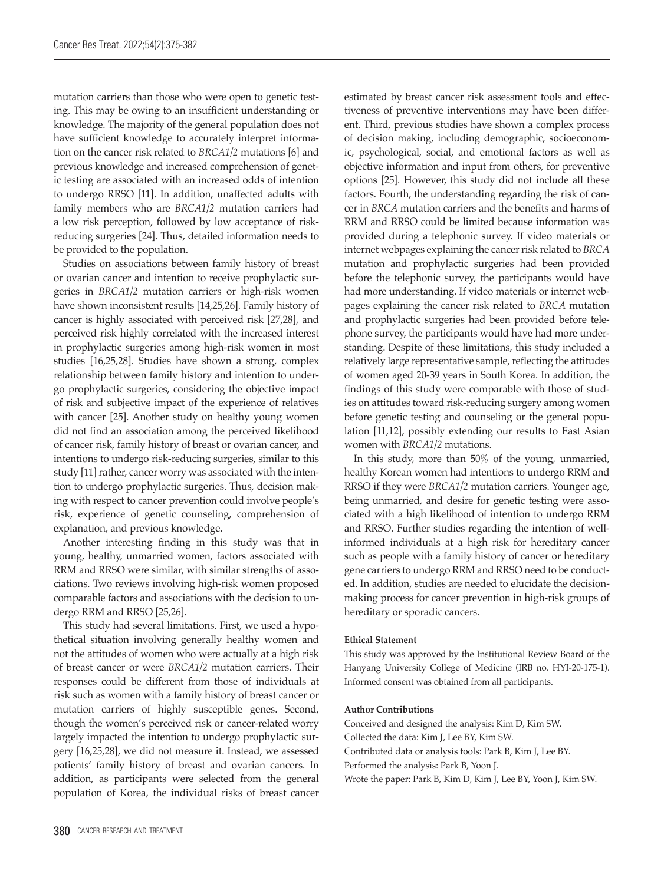mutation carriers than those who were open to genetic testing. This may be owing to an insufficient understanding or knowledge. The majority of the general population does not have sufficient knowledge to accurately interpret information on the cancer risk related to *BRCA1/2* mutations [6] and previous knowledge and increased comprehension of genetic testing are associated with an increased odds of intention to undergo RRSO [11]. In addition, unaffected adults with family members who are *BRCA1/2* mutation carriers had a low risk perception, followed by low acceptance of riskreducing surgeries [24]. Thus, detailed information needs to be provided to the population.

Studies on associations between family history of breast or ovarian cancer and intention to receive prophylactic surgeries in *BRCA1/2* mutation carriers or high-risk women have shown inconsistent results [14,25,26]. Family history of cancer is highly associated with perceived risk [27,28], and perceived risk highly correlated with the increased interest in prophylactic surgeries among high-risk women in most studies [16,25,28]. Studies have shown a strong, complex relationship between family history and intention to undergo prophylactic surgeries, considering the objective impact of risk and subjective impact of the experience of relatives with cancer [25]. Another study on healthy young women did not find an association among the perceived likelihood of cancer risk, family history of breast or ovarian cancer, and intentions to undergo risk-reducing surgeries, similar to this study [11] rather, cancer worry was associated with the intention to undergo prophylactic surgeries. Thus, decision making with respect to cancer prevention could involve people's risk, experience of genetic counseling, comprehension of explanation, and previous knowledge.

Another interesting finding in this study was that in young, healthy, unmarried women, factors associated with RRM and RRSO were similar, with similar strengths of associations. Two reviews involving high-risk women proposed comparable factors and associations with the decision to undergo RRM and RRSO [25,26].

This study had several limitations. First, we used a hypothetical situation involving generally healthy women and not the attitudes of women who were actually at a high risk of breast cancer or were *BRCA1/2* mutation carriers. Their responses could be different from those of individuals at risk such as women with a family history of breast cancer or mutation carriers of highly susceptible genes. Second, though the women's perceived risk or cancer-related worry largely impacted the intention to undergo prophylactic surgery [16,25,28], we did not measure it. Instead, we assessed patients' family history of breast and ovarian cancers. In addition, as participants were selected from the general population of Korea, the individual risks of breast cancer

estimated by breast cancer risk assessment tools and effectiveness of preventive interventions may have been different. Third, previous studies have shown a complex process of decision making, including demographic, socioeconomic, psychological, social, and emotional factors as well as objective information and input from others, for preventive options [25]. However, this study did not include all these factors. Fourth, the understanding regarding the risk of cancer in *BRCA* mutation carriers and the benefits and harms of RRM and RRSO could be limited because information was provided during a telephonic survey. If video materials or internet webpages explaining the cancer risk related to *BRCA* mutation and prophylactic surgeries had been provided before the telephonic survey, the participants would have had more understanding. If video materials or internet webpages explaining the cancer risk related to *BRCA* mutation and prophylactic surgeries had been provided before telephone survey, the participants would have had more understanding. Despite of these limitations, this study included a relatively large representative sample, reflecting the attitudes of women aged 20-39 years in South Korea. In addition, the findings of this study were comparable with those of studies on attitudes toward risk-reducing surgery among women before genetic testing and counseling or the general population [11,12], possibly extending our results to East Asian women with *BRCA1/2* mutations.

In this study, more than 50% of the young, unmarried, healthy Korean women had intentions to undergo RRM and RRSO if they were *BRCA1/2* mutation carriers. Younger age, being unmarried, and desire for genetic testing were associated with a high likelihood of intention to undergo RRM and RRSO. Further studies regarding the intention of wellinformed individuals at a high risk for hereditary cancer such as people with a family history of cancer or hereditary gene carriers to undergo RRM and RRSO need to be conducted. In addition, studies are needed to elucidate the decisionmaking process for cancer prevention in high-risk groups of hereditary or sporadic cancers.

### **Ethical Statement**

This study was approved by the Institutional Review Board of the Hanyang University College of Medicine (IRB no. HYI-20-175-1). Informed consent was obtained from all participants.

#### **Author Contributions**

Conceived and designed the analysis: Kim D, Kim SW. Collected the data: Kim J, Lee BY, Kim SW. Contributed data or analysis tools: Park B, Kim J, Lee BY. Performed the analysis: Park B, Yoon J. Wrote the paper: Park B, Kim D, Kim J, Lee BY, Yoon J, Kim SW.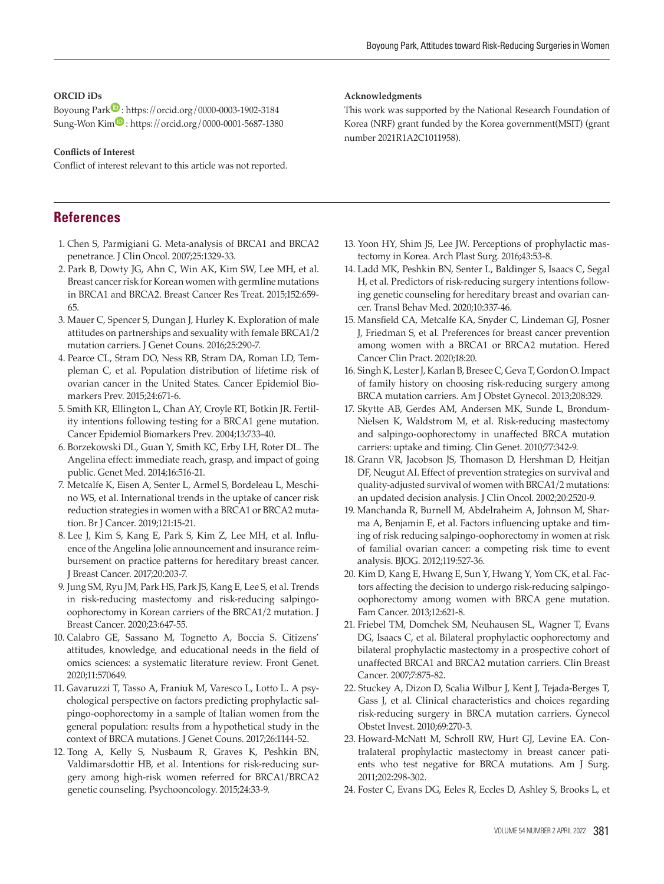### **ORCID iDs**

Boyoung Par[k](https://orcid.org/0000-0003-1902-3184)<sup>1</sup> : https://orcid.org/0000-0003-1902-3184  $Sune-Won Kim$  : https://orcid.org/0000-0001-5687-1380

#### **Conflicts of Interest**

Conflict of interest relevant to this article was not reported.

### **References**

- 1. Chen S, Parmigiani G. Meta-analysis of BRCA1 and BRCA2 penetrance. J Clin Oncol. 2007;25:1329-33.
- 2. Park B, Dowty JG, Ahn C, Win AK, Kim SW, Lee MH, et al. Breast cancer risk for Korean women with germline mutations in BRCA1 and BRCA2. Breast Cancer Res Treat. 2015;152:659- 65.
- 3. Mauer C, Spencer S, Dungan J, Hurley K. Exploration of male attitudes on partnerships and sexuality with female BRCA1/2 mutation carriers. J Genet Couns. 2016;25:290-7.
- 4. Pearce CL, Stram DO, Ness RB, Stram DA, Roman LD, Templeman C, et al. Population distribution of lifetime risk of ovarian cancer in the United States. Cancer Epidemiol Biomarkers Prev. 2015;24:671-6.
- 5. Smith KR, Ellington L, Chan AY, Croyle RT, Botkin JR. Fertility intentions following testing for a BRCA1 gene mutation. Cancer Epidemiol Biomarkers Prev. 2004;13:733-40.
- 6. Borzekowski DL, Guan Y, Smith KC, Erby LH, Roter DL. The Angelina effect: immediate reach, grasp, and impact of going public. Genet Med. 2014;16:516-21.
- 7. Metcalfe K, Eisen A, Senter L, Armel S, Bordeleau L, Meschino WS, et al. International trends in the uptake of cancer risk reduction strategies in women with a BRCA1 or BRCA2 mutation. Br J Cancer. 2019;121:15-21.
- 8. Lee J, Kim S, Kang E, Park S, Kim Z, Lee MH, et al. Influence of the Angelina Jolie announcement and insurance reimbursement on practice patterns for hereditary breast cancer. J Breast Cancer. 2017;20:203-7.
- 9. Jung SM, Ryu JM, Park HS, Park JS, Kang E, Lee S, et al. Trends in risk-reducing mastectomy and risk-reducing salpingooophorectomy in Korean carriers of the BRCA1/2 mutation. J Breast Cancer. 2020;23:647-55.
- 10. Calabro GE, Sassano M, Tognetto A, Boccia S. Citizens' attitudes, knowledge, and educational needs in the field of omics sciences: a systematic literature review. Front Genet. 2020;11:570649.
- 11. Gavaruzzi T, Tasso A, Franiuk M, Varesco L, Lotto L. A psychological perspective on factors predicting prophylactic salpingo-oophorectomy in a sample of Italian women from the general population: results from a hypothetical study in the context of BRCA mutations. J Genet Couns. 2017;26:1144-52.
- 12. Tong A, Kelly S, Nusbaum R, Graves K, Peshkin BN, Valdimarsdottir HB, et al. Intentions for risk-reducing surgery among high-risk women referred for BRCA1/BRCA2 genetic counseling. Psychooncology. 2015;24:33-9.

#### **Acknowledgments**

This work was supported by the National Research Foundation of Korea (NRF) grant funded by the Korea government(MSIT) (grant number 2021R1A2C1011958).

- 13. Yoon HY, Shim JS, Lee JW. Perceptions of prophylactic mastectomy in Korea. Arch Plast Surg. 2016;43:53-8.
- 14. Ladd MK, Peshkin BN, Senter L, Baldinger S, Isaacs C, Segal H, et al. Predictors of risk-reducing surgery intentions following genetic counseling for hereditary breast and ovarian cancer. Transl Behav Med. 2020;10:337-46.
- 15. Mansfield CA, Metcalfe KA, Snyder C, Lindeman GJ, Posner J, Friedman S, et al. Preferences for breast cancer prevention among women with a BRCA1 or BRCA2 mutation. Hered Cancer Clin Pract. 2020;18:20.
- 16. Singh K, Lester J, Karlan B, Bresee C, Geva T, Gordon O. Impact of family history on choosing risk-reducing surgery among BRCA mutation carriers. Am J Obstet Gynecol. 2013;208:329.
- 17. Skytte AB, Gerdes AM, Andersen MK, Sunde L, Brondum-Nielsen K, Waldstrom M, et al. Risk-reducing mastectomy and salpingo-oophorectomy in unaffected BRCA mutation carriers: uptake and timing. Clin Genet. 2010;77:342-9.
- 18. Grann VR, Jacobson JS, Thomason D, Hershman D, Heitjan DF, Neugut AI. Effect of prevention strategies on survival and quality-adjusted survival of women with BRCA1/2 mutations: an updated decision analysis. J Clin Oncol. 2002;20:2520-9.
- 19. Manchanda R, Burnell M, Abdelraheim A, Johnson M, Sharma A, Benjamin E, et al. Factors influencing uptake and timing of risk reducing salpingo-oophorectomy in women at risk of familial ovarian cancer: a competing risk time to event analysis. BJOG. 2012;119:527-36.
- 20. Kim D, Kang E, Hwang E, Sun Y, Hwang Y, Yom CK, et al. Factors affecting the decision to undergo risk-reducing salpingooophorectomy among women with BRCA gene mutation. Fam Cancer. 2013;12:621-8.
- 21. Friebel TM, Domchek SM, Neuhausen SL, Wagner T, Evans DG, Isaacs C, et al. Bilateral prophylactic oophorectomy and bilateral prophylactic mastectomy in a prospective cohort of unaffected BRCA1 and BRCA2 mutation carriers. Clin Breast Cancer. 2007;7:875-82.
- 22. Stuckey A, Dizon D, Scalia Wilbur J, Kent J, Tejada-Berges T, Gass J, et al. Clinical characteristics and choices regarding risk-reducing surgery in BRCA mutation carriers. Gynecol Obstet Invest. 2010;69:270-3.
- 23. Howard-McNatt M, Schroll RW, Hurt GJ, Levine EA. Contralateral prophylactic mastectomy in breast cancer patients who test negative for BRCA mutations. Am J Surg. 2011;202:298-302.
- 24. Foster C, Evans DG, Eeles R, Eccles D, Ashley S, Brooks L, et